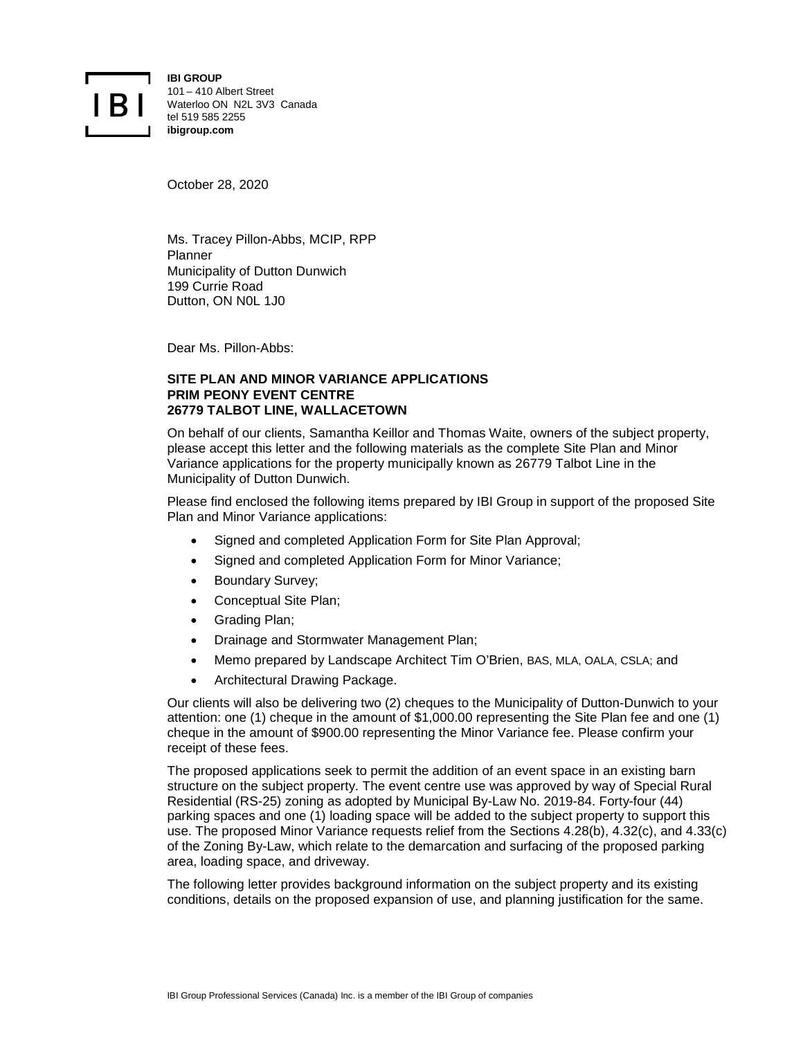

**IBI GROUP** 101 – 410 Albert Street Waterloo ON N2L 3V3 Canada tel 519 585 2255 **ibigroup.com**

October 28, 2020

Ms. Tracey Pillon-Abbs, MCIP, RPP Planner Municipality of Dutton Dunwich 199 Currie Road Dutton, ON N0L 1J0

Dear Ms. Pillon-Abbs:

## **SITE PLAN AND MINOR VARIANCE APPLICATIONS PRIM PEONY EVENT CENTRE 26779 TALBOT LINE, WALLACETOWN**

On behalf of our clients, Samantha Keillor and Thomas Waite, owners of the subject property, please accept this letter and the following materials as the complete Site Plan and Minor Variance applications for the property municipally known as 26779 Talbot Line in the Municipality of Dutton Dunwich.

Please find enclosed the following items prepared by IBI Group in support of the proposed Site Plan and Minor Variance applications:

- Signed and completed Application Form for Site Plan Approval;
- Signed and completed Application Form for Minor Variance;
- Boundary Survey;
- Conceptual Site Plan;
- Grading Plan;
- Drainage and Stormwater Management Plan;
- Memo prepared by Landscape Architect Tim O'Brien, BAS, MLA, OALA, CSLA; and
- Architectural Drawing Package.

Our clients will also be delivering two (2) cheques to the Municipality of Dutton-Dunwich to your attention: one (1) cheque in the amount of \$1,000.00 representing the Site Plan fee and one (1) cheque in the amount of \$900.00 representing the Minor Variance fee. Please confirm your receipt of these fees.

The proposed applications seek to permit the addition of an event space in an existing barn structure on the subject property. The event centre use was approved by way of Special Rural Residential (RS-25) zoning as adopted by Municipal By-Law No. 2019-84. Forty-four (44) parking spaces and one (1) loading space will be added to the subject property to support this use. The proposed Minor Variance requests relief from the Sections 4.28(b), 4.32(c), and 4.33(c) of the Zoning By-Law, which relate to the demarcation and surfacing of the proposed parking area, loading space, and driveway.

The following letter provides background information on the subject property and its existing conditions, details on the proposed expansion of use, and planning justification for the same.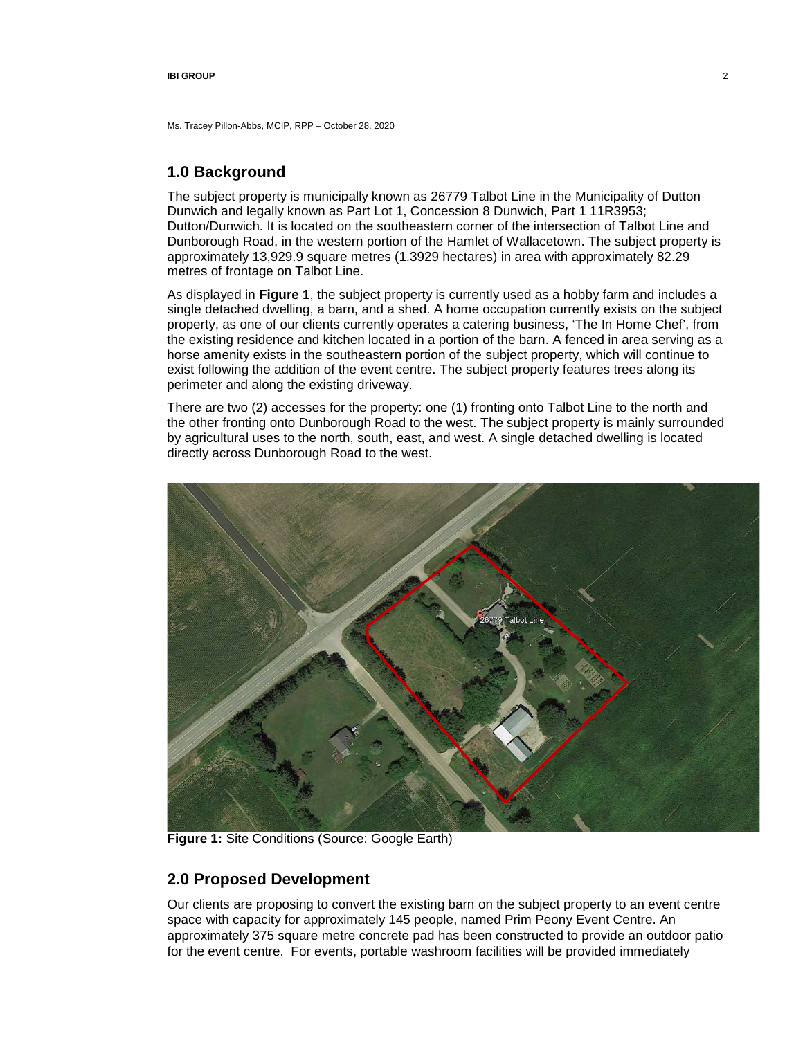Ms. Tracey Pillon-Abbs, MCIP, RPP – October 28, 2020

# **1.0 Background**

The subject property is municipally known as 26779 Talbot Line in the Municipality of Dutton Dunwich and legally known as Part Lot 1, Concession 8 Dunwich, Part 1 11R3953; Dutton/Dunwich. It is located on the southeastern corner of the intersection of Talbot Line and Dunborough Road, in the western portion of the Hamlet of Wallacetown. The subject property is approximately 13,929.9 square metres (1.3929 hectares) in area with approximately 82.29 metres of frontage on Talbot Line.

As displayed in **[Figure 1](#page-1-0)**, the subject property is currently used as a hobby farm and includes a single detached dwelling, a barn, and a shed. A home occupation currently exists on the subject property, as one of our clients currently operates a catering business, 'The In Home Chef', from the existing residence and kitchen located in a portion of the barn. A fenced in area serving as a horse amenity exists in the southeastern portion of the subject property, which will continue to exist following the addition of the event centre. The subject property features trees along its perimeter and along the existing driveway.

There are two (2) accesses for the property: one (1) fronting onto Talbot Line to the north and the other fronting onto Dunborough Road to the west. The subject property is mainly surrounded by agricultural uses to the north, south, east, and west. A single detached dwelling is located directly across Dunborough Road to the west.



**Figure 1:** Site Conditions (Source: Google Earth)

# <span id="page-1-0"></span>**2.0 Proposed Development**

Our clients are proposing to convert the existing barn on the subject property to an event centre space with capacity for approximately 145 people, named Prim Peony Event Centre. An approximately 375 square metre concrete pad has been constructed to provide an outdoor patio for the event centre. For events, portable washroom facilities will be provided immediately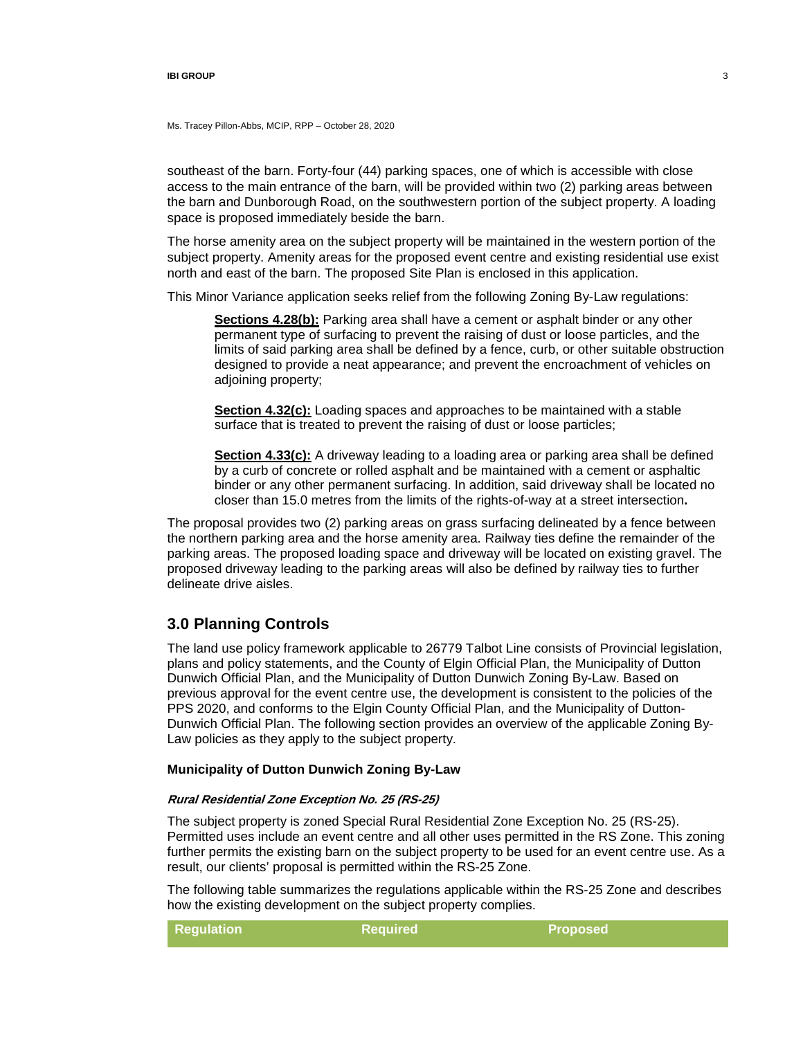Ms. Tracey Pillon-Abbs, MCIP, RPP – October 28, 2020

southeast of the barn. Forty-four (44) parking spaces, one of which is accessible with close access to the main entrance of the barn, will be provided within two (2) parking areas between the barn and Dunborough Road, on the southwestern portion of the subject property. A loading space is proposed immediately beside the barn.

The horse amenity area on the subject property will be maintained in the western portion of the subject property. Amenity areas for the proposed event centre and existing residential use exist north and east of the barn. The proposed Site Plan is enclosed in this application.

This Minor Variance application seeks relief from the following Zoning By-Law regulations:

**Sections 4.28(b):** Parking area shall have a cement or asphalt binder or any other permanent type of surfacing to prevent the raising of dust or loose particles, and the limits of said parking area shall be defined by a fence, curb, or other suitable obstruction designed to provide a neat appearance; and prevent the encroachment of vehicles on adjoining property;

**Section 4.32(c):** Loading spaces and approaches to be maintained with a stable surface that is treated to prevent the raising of dust or loose particles;

**Section 4.33(c):** A driveway leading to a loading area or parking area shall be defined by a curb of concrete or rolled asphalt and be maintained with a cement or asphaltic binder or any other permanent surfacing. In addition, said driveway shall be located no closer than 15.0 metres from the limits of the rights-of-way at a street intersection**.**

The proposal provides two (2) parking areas on grass surfacing delineated by a fence between the northern parking area and the horse amenity area. Railway ties define the remainder of the parking areas. The proposed loading space and driveway will be located on existing gravel. The proposed driveway leading to the parking areas will also be defined by railway ties to further delineate drive aisles.

## **3.0 Planning Controls**

The land use policy framework applicable to 26779 Talbot Line consists of Provincial legislation, plans and policy statements, and the County of Elgin Official Plan, the Municipality of Dutton Dunwich Official Plan, and the Municipality of Dutton Dunwich Zoning By-Law. Based on previous approval for the event centre use, the development is consistent to the policies of the PPS 2020, and conforms to the Elgin County Official Plan, and the Municipality of Dutton-Dunwich Official Plan. The following section provides an overview of the applicable Zoning By-Law policies as they apply to the subject property.

## **Municipality of Dutton Dunwich Zoning By-Law**

### **Rural Residential Zone Exception No. 25 (RS-25)**

The subject property is zoned Special Rural Residential Zone Exception No. 25 (RS-25). Permitted uses include an event centre and all other uses permitted in the RS Zone. This zoning further permits the existing barn on the subject property to be used for an event centre use. As a result, our clients' proposal is permitted within the RS-25 Zone.

The following table summarizes the regulations applicable within the RS-25 Zone and describes how the existing development on the subject property complies.

| <b>Regulation</b> | <b>Required</b> | <b>Proposed</b> |  |
|-------------------|-----------------|-----------------|--|
|-------------------|-----------------|-----------------|--|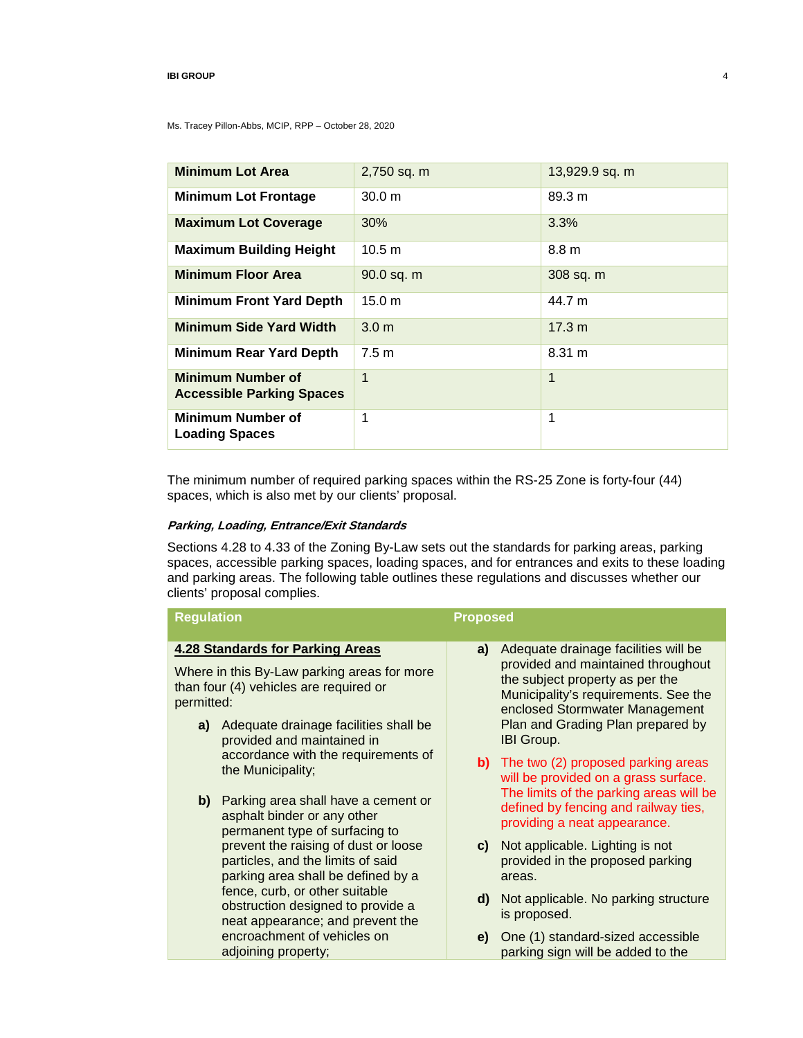Ms. Tracey Pillon-Abbs, MCIP, RPP – October 28, 2020

| <b>Minimum Lot Area</b>                                      |                  |                  |
|--------------------------------------------------------------|------------------|------------------|
|                                                              | 2,750 sq. m      | 13,929.9 sq. m   |
| <b>Minimum Lot Frontage</b>                                  | 30.0 m           | 89.3 m           |
| <b>Maximum Lot Coverage</b>                                  | 30%              | 3.3%             |
| <b>Maximum Building Height</b>                               | 10.5 m           | 8.8 <sub>m</sub> |
| <b>Minimum Floor Area</b>                                    | 90.0 sq. m       | 308 sq. m        |
| <b>Minimum Front Yard Depth</b>                              | 15.0 m           | 44.7 m           |
| <b>Minimum Side Yard Width</b>                               | 3.0 <sub>m</sub> | 17.3 m           |
| <b>Minimum Rear Yard Depth</b>                               | 7.5 m            | 8.31 m           |
| <b>Minimum Number of</b><br><b>Accessible Parking Spaces</b> | 1                | $\mathbf{1}$     |
| <b>Minimum Number of</b><br><b>Loading Spaces</b>            | 1                | 1                |

The minimum number of required parking spaces within the RS-25 Zone is forty-four (44) spaces, which is also met by our clients' proposal.

## **Parking, Loading, Entrance/Exit Standards**

Sections 4.28 to 4.33 of the Zoning By-Law sets out the standards for parking areas, parking spaces, accessible parking spaces, loading spaces, and for entrances and exits to these loading and parking areas. The following table outlines these regulations and discusses whether our clients' proposal complies.

| <b>Regulation</b> |                                                                                                                 | <b>Proposed</b> |                                                                                                                                                 |
|-------------------|-----------------------------------------------------------------------------------------------------------------|-----------------|-------------------------------------------------------------------------------------------------------------------------------------------------|
|                   | <b>4.28 Standards for Parking Areas</b>                                                                         | a)              | Adequate drainage facilities will be                                                                                                            |
| permitted:        | Where in this By-Law parking areas for more<br>than four (4) vehicles are required or                           |                 | provided and maintained throughout<br>the subject property as per the<br>Municipality's requirements. See the<br>enclosed Stormwater Management |
|                   | a) Adequate drainage facilities shall be<br>provided and maintained in                                          |                 | Plan and Grading Plan prepared by<br><b>IBI Group.</b>                                                                                          |
|                   | accordance with the requirements of<br>the Municipality;                                                        |                 | <b>b)</b> The two (2) proposed parking areas<br>will be provided on a grass surface.                                                            |
|                   | b) Parking area shall have a cement or<br>asphalt binder or any other<br>permanent type of surfacing to         |                 | The limits of the parking areas will be<br>defined by fencing and railway ties,<br>providing a neat appearance.                                 |
|                   | prevent the raising of dust or loose<br>particles, and the limits of said<br>parking area shall be defined by a | C)              | Not applicable. Lighting is not<br>provided in the proposed parking<br>areas.                                                                   |
|                   | fence, curb, or other suitable<br>obstruction designed to provide a<br>neat appearance; and prevent the         | d)              | Not applicable. No parking structure<br>is proposed.                                                                                            |
|                   | encroachment of vehicles on<br>adjoining property;                                                              |                 | e) One (1) standard-sized accessible<br>parking sign will be added to the                                                                       |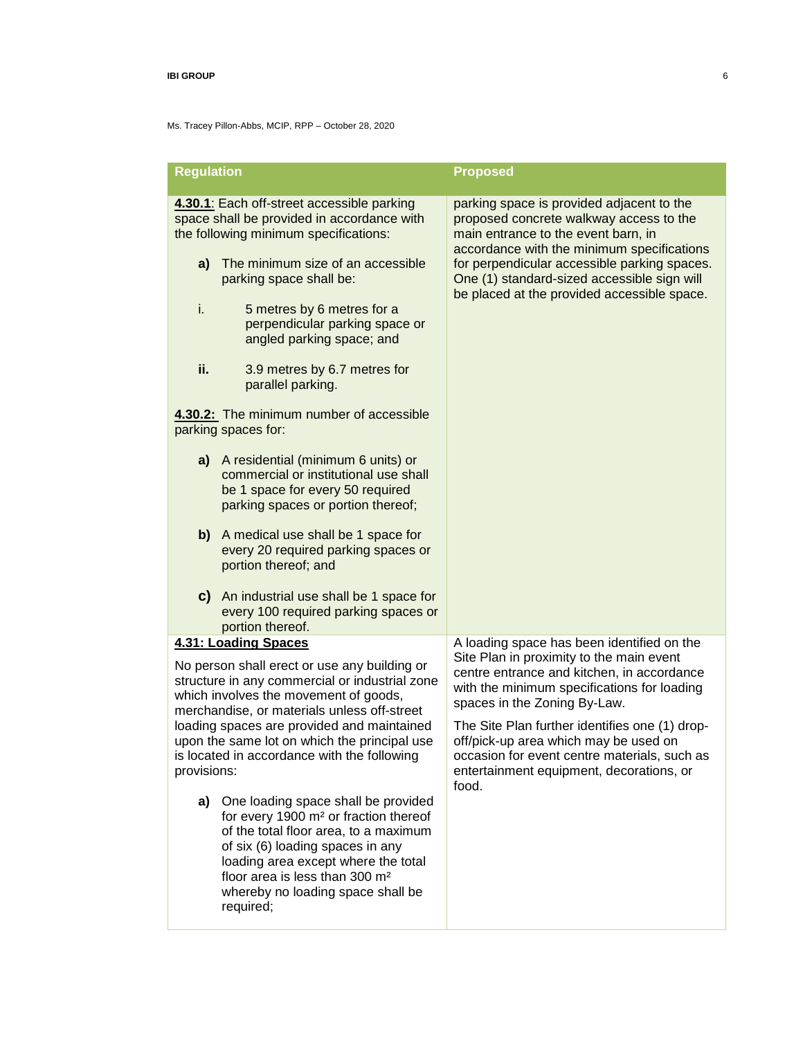| <b>Regulation</b>                                                                                                                                                                                                                                                                                                                                  |                                                                                                                                                                                                                                                                                                              | <b>Proposed</b>                                                                                                                                                                                                                                                  |
|----------------------------------------------------------------------------------------------------------------------------------------------------------------------------------------------------------------------------------------------------------------------------------------------------------------------------------------------------|--------------------------------------------------------------------------------------------------------------------------------------------------------------------------------------------------------------------------------------------------------------------------------------------------------------|------------------------------------------------------------------------------------------------------------------------------------------------------------------------------------------------------------------------------------------------------------------|
|                                                                                                                                                                                                                                                                                                                                                    |                                                                                                                                                                                                                                                                                                              |                                                                                                                                                                                                                                                                  |
| 4.30.1: Each off-street accessible parking<br>space shall be provided in accordance with<br>the following minimum specifications:                                                                                                                                                                                                                  |                                                                                                                                                                                                                                                                                                              | parking space is provided adjacent to the<br>proposed concrete walkway access to the<br>main entrance to the event barn, in<br>accordance with the minimum specifications                                                                                        |
| a)                                                                                                                                                                                                                                                                                                                                                 | The minimum size of an accessible<br>parking space shall be:                                                                                                                                                                                                                                                 | for perpendicular accessible parking spaces.<br>One (1) standard-sized accessible sign will<br>be placed at the provided accessible space.                                                                                                                       |
| i.                                                                                                                                                                                                                                                                                                                                                 | 5 metres by 6 metres for a<br>perpendicular parking space or<br>angled parking space; and                                                                                                                                                                                                                    |                                                                                                                                                                                                                                                                  |
| ii.                                                                                                                                                                                                                                                                                                                                                | 3.9 metres by 6.7 metres for<br>parallel parking.                                                                                                                                                                                                                                                            |                                                                                                                                                                                                                                                                  |
|                                                                                                                                                                                                                                                                                                                                                    | 4.30.2: The minimum number of accessible<br>parking spaces for:                                                                                                                                                                                                                                              |                                                                                                                                                                                                                                                                  |
| a)                                                                                                                                                                                                                                                                                                                                                 | A residential (minimum 6 units) or<br>commercial or institutional use shall<br>be 1 space for every 50 required<br>parking spaces or portion thereof;                                                                                                                                                        |                                                                                                                                                                                                                                                                  |
|                                                                                                                                                                                                                                                                                                                                                    | b) A medical use shall be 1 space for<br>every 20 required parking spaces or<br>portion thereof; and                                                                                                                                                                                                         |                                                                                                                                                                                                                                                                  |
|                                                                                                                                                                                                                                                                                                                                                    | c) An industrial use shall be 1 space for<br>every 100 required parking spaces or<br>portion thereof.                                                                                                                                                                                                        |                                                                                                                                                                                                                                                                  |
|                                                                                                                                                                                                                                                                                                                                                    | 4.31: Loading Spaces                                                                                                                                                                                                                                                                                         | A loading space has been identified on the                                                                                                                                                                                                                       |
| No person shall erect or use any building or<br>structure in any commercial or industrial zone<br>which involves the movement of goods,<br>merchandise, or materials unless off-street<br>loading spaces are provided and maintained<br>upon the same lot on which the principal use<br>is located in accordance with the following<br>provisions: |                                                                                                                                                                                                                                                                                                              | Site Plan in proximity to the main event<br>centre entrance and kitchen, in accordance<br>with the minimum specifications for loading<br>spaces in the Zoning By-Law.<br>The Site Plan further identifies one (1) drop-<br>off/pick-up area which may be used on |
|                                                                                                                                                                                                                                                                                                                                                    |                                                                                                                                                                                                                                                                                                              | occasion for event centre materials, such as<br>entertainment equipment, decorations, or<br>food.                                                                                                                                                                |
| a)                                                                                                                                                                                                                                                                                                                                                 | One loading space shall be provided<br>for every 1900 m <sup>2</sup> or fraction thereof<br>of the total floor area, to a maximum<br>of six (6) loading spaces in any<br>loading area except where the total<br>floor area is less than 300 m <sup>2</sup><br>whereby no loading space shall be<br>required; |                                                                                                                                                                                                                                                                  |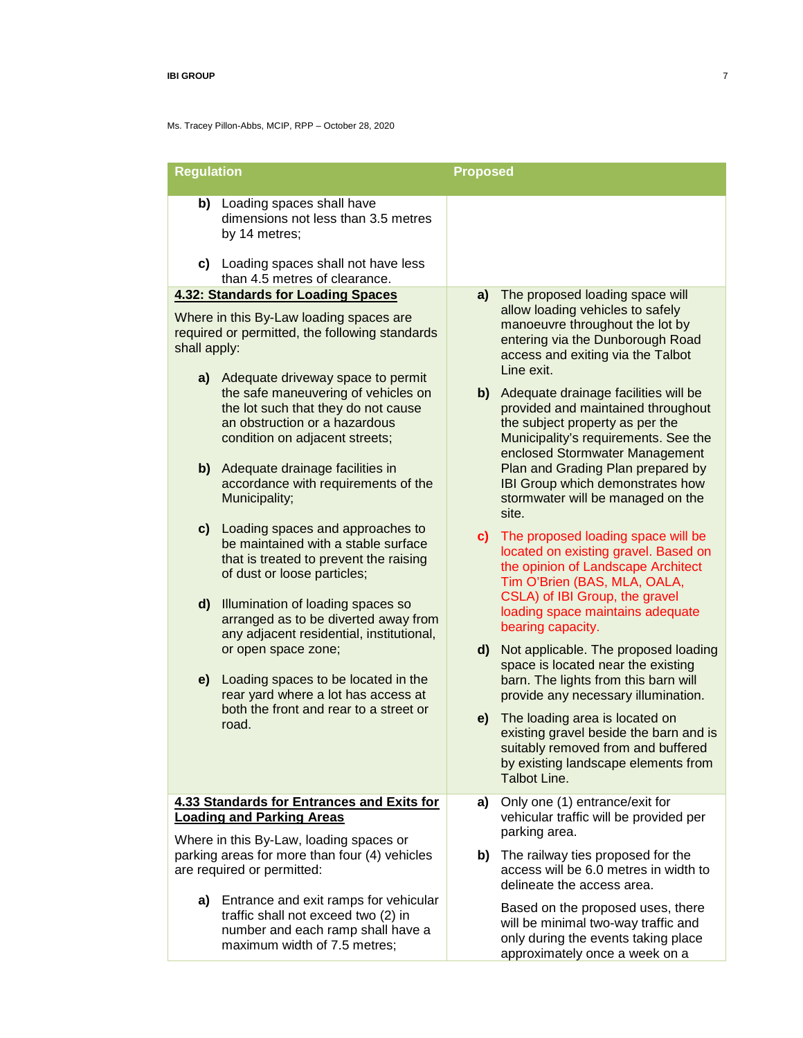| <b>Regulation</b>                                                                                                                                                                                                                                                                                                                                                                                                            | <b>Proposed</b>                                                                                                                                                                                                                                                                                                                                                                                                                                                                 |  |  |
|------------------------------------------------------------------------------------------------------------------------------------------------------------------------------------------------------------------------------------------------------------------------------------------------------------------------------------------------------------------------------------------------------------------------------|---------------------------------------------------------------------------------------------------------------------------------------------------------------------------------------------------------------------------------------------------------------------------------------------------------------------------------------------------------------------------------------------------------------------------------------------------------------------------------|--|--|
| b) Loading spaces shall have<br>dimensions not less than 3.5 metres<br>by 14 metres;<br>c) Loading spaces shall not have less<br>than 4.5 metres of clearance.                                                                                                                                                                                                                                                               |                                                                                                                                                                                                                                                                                                                                                                                                                                                                                 |  |  |
|                                                                                                                                                                                                                                                                                                                                                                                                                              |                                                                                                                                                                                                                                                                                                                                                                                                                                                                                 |  |  |
| <b>4.32: Standards for Loading Spaces</b><br>Where in this By-Law loading spaces are<br>required or permitted, the following standards<br>shall apply:<br>a) Adequate driveway space to permit<br>the safe maneuvering of vehicles on<br>the lot such that they do not cause<br>an obstruction or a hazardous<br>condition on adjacent streets;<br>b) Adequate drainage facilities in<br>accordance with requirements of the | The proposed loading space will<br>a)<br>allow loading vehicles to safely<br>manoeuvre throughout the lot by<br>entering via the Dunborough Road<br>access and exiting via the Talbot<br>Line exit.<br>Adequate drainage facilities will be<br>b)  <br>provided and maintained throughout<br>the subject property as per the<br>Municipality's requirements. See the<br>enclosed Stormwater Management<br>Plan and Grading Plan prepared by<br>IBI Group which demonstrates how |  |  |
| Municipality;<br>c) Loading spaces and approaches to<br>be maintained with a stable surface<br>that is treated to prevent the raising<br>of dust or loose particles;<br>d)<br>Illumination of loading spaces so<br>arranged as to be diverted away from<br>any adjacent residential, institutional,                                                                                                                          | stormwater will be managed on the<br>site.<br>c) The proposed loading space will be<br>located on existing gravel. Based on<br>the opinion of Landscape Architect<br>Tim O'Brien (BAS, MLA, OALA,<br>CSLA) of IBI Group, the gravel<br>loading space maintains adequate<br>bearing capacity.                                                                                                                                                                                    |  |  |
| or open space zone;<br>e)<br>Loading spaces to be located in the<br>rear yard where a lot has access at<br>both the front and rear to a street or<br>road.                                                                                                                                                                                                                                                                   | d)<br>Not applicable. The proposed loading<br>space is located near the existing<br>barn. The lights from this barn will<br>provide any necessary illumination.<br>The loading area is located on<br>e)<br>existing gravel beside the barn and is<br>suitably removed from and buffered<br>by existing landscape elements from<br>Talbot Line.                                                                                                                                  |  |  |
| 4.33 Standards for Entrances and Exits for<br><b>Loading and Parking Areas</b><br>Where in this By-Law, loading spaces or                                                                                                                                                                                                                                                                                                    | Only one (1) entrance/exit for<br>a)<br>vehicular traffic will be provided per<br>parking area.                                                                                                                                                                                                                                                                                                                                                                                 |  |  |
| parking areas for more than four (4) vehicles<br>are required or permitted:                                                                                                                                                                                                                                                                                                                                                  | <b>b)</b> The railway ties proposed for the<br>access will be 6.0 metres in width to<br>delineate the access area.                                                                                                                                                                                                                                                                                                                                                              |  |  |
| a) Entrance and exit ramps for vehicular<br>traffic shall not exceed two (2) in<br>number and each ramp shall have a<br>maximum width of 7.5 metres;                                                                                                                                                                                                                                                                         | Based on the proposed uses, there<br>will be minimal two-way traffic and<br>only during the events taking place<br>approximately once a week on a                                                                                                                                                                                                                                                                                                                               |  |  |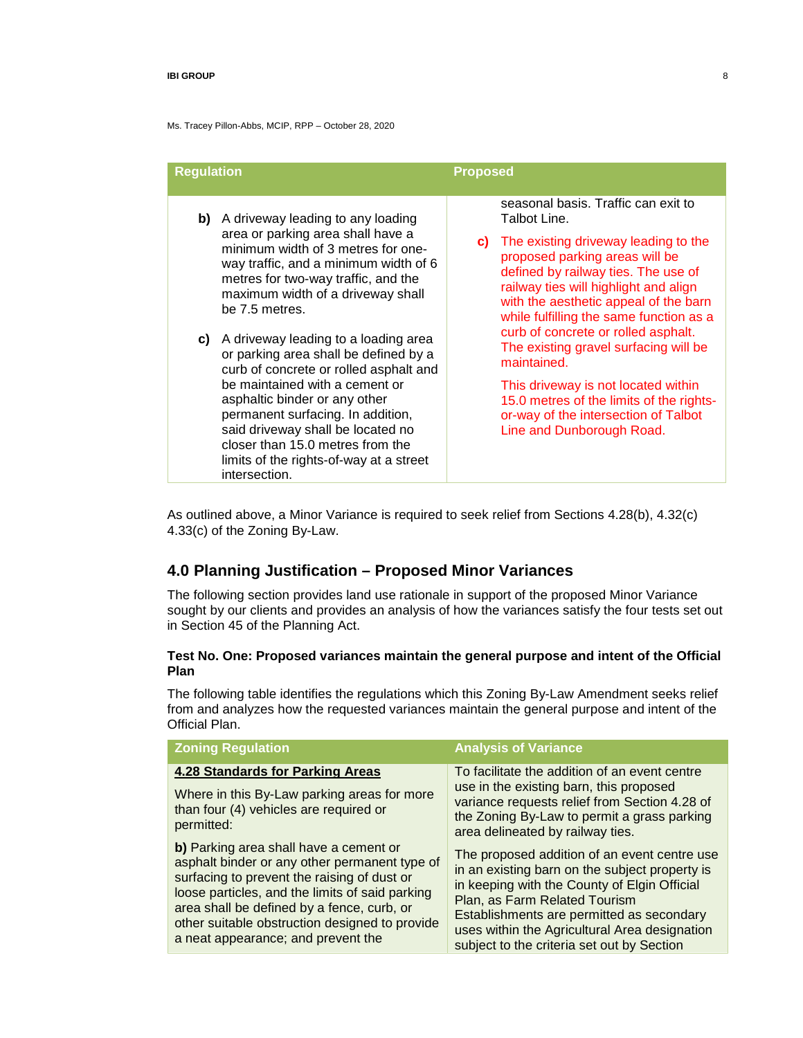Ms. Tracey Pillon-Abbs, MCIP, RPP – October 28, 2020

| <b>Regulation</b> |                                                                                                                                                                                                                                                                                                                                                                                                                                                                                                                                                                                                                                       | <b>Proposed</b> |                                                                                                                                                                                                                                                                                                                                                                                                                                                                                                                                                          |
|-------------------|---------------------------------------------------------------------------------------------------------------------------------------------------------------------------------------------------------------------------------------------------------------------------------------------------------------------------------------------------------------------------------------------------------------------------------------------------------------------------------------------------------------------------------------------------------------------------------------------------------------------------------------|-----------------|----------------------------------------------------------------------------------------------------------------------------------------------------------------------------------------------------------------------------------------------------------------------------------------------------------------------------------------------------------------------------------------------------------------------------------------------------------------------------------------------------------------------------------------------------------|
| C)                | <b>b)</b> A driveway leading to any loading<br>area or parking area shall have a<br>minimum width of 3 metres for one-<br>way traffic, and a minimum width of 6<br>metres for two-way traffic, and the<br>maximum width of a driveway shall<br>be 7.5 metres.<br>A driveway leading to a loading area<br>or parking area shall be defined by a<br>curb of concrete or rolled asphalt and<br>be maintained with a cement or<br>asphaltic binder or any other<br>permanent surfacing. In addition,<br>said driveway shall be located no<br>closer than 15.0 metres from the<br>limits of the rights-of-way at a street<br>intersection. | C)              | seasonal basis. Traffic can exit to<br>Talbot Line.<br>The existing driveway leading to the<br>proposed parking areas will be<br>defined by railway ties. The use of<br>railway ties will highlight and align<br>with the aesthetic appeal of the barn<br>while fulfilling the same function as a<br>curb of concrete or rolled asphalt.<br>The existing gravel surfacing will be<br>maintained.<br>This driveway is not located within<br>15.0 metres of the limits of the rights-<br>or-way of the intersection of Talbot<br>Line and Dunborough Road. |

As outlined above, a Minor Variance is required to seek relief from Sections 4.28(b), 4.32(c) 4.33(c) of the Zoning By-Law.

# **4.0 Planning Justification – Proposed Minor Variances**

The following section provides land use rationale in support of the proposed Minor Variance sought by our clients and provides an analysis of how the variances satisfy the four tests set out in Section 45 of the Planning Act.

## **Test No. One: Proposed variances maintain the general purpose and intent of the Official Plan**

The following table identifies the regulations which this Zoning By-Law Amendment seeks relief from and analyzes how the requested variances maintain the general purpose and intent of the Official Plan.

| <b>Zoning Regulation</b>                                                                                                                                                                                                                                                                                                        | <b>Analysis of Variance</b>                                                                                                                                                                                                                                                                                                 |
|---------------------------------------------------------------------------------------------------------------------------------------------------------------------------------------------------------------------------------------------------------------------------------------------------------------------------------|-----------------------------------------------------------------------------------------------------------------------------------------------------------------------------------------------------------------------------------------------------------------------------------------------------------------------------|
| <b>4.28 Standards for Parking Areas</b><br>Where in this By-Law parking areas for more<br>than four (4) vehicles are required or<br>permitted:                                                                                                                                                                                  | To facilitate the addition of an event centre<br>use in the existing barn, this proposed<br>variance requests relief from Section 4.28 of<br>the Zoning By-Law to permit a grass parking<br>area delineated by railway ties.                                                                                                |
| b) Parking area shall have a cement or<br>asphalt binder or any other permanent type of<br>surfacing to prevent the raising of dust or<br>loose particles, and the limits of said parking<br>area shall be defined by a fence, curb, or<br>other suitable obstruction designed to provide<br>a neat appearance; and prevent the | The proposed addition of an event centre use<br>in an existing barn on the subject property is<br>in keeping with the County of Elgin Official<br>Plan, as Farm Related Tourism<br>Establishments are permitted as secondary<br>uses within the Agricultural Area designation<br>subject to the criteria set out by Section |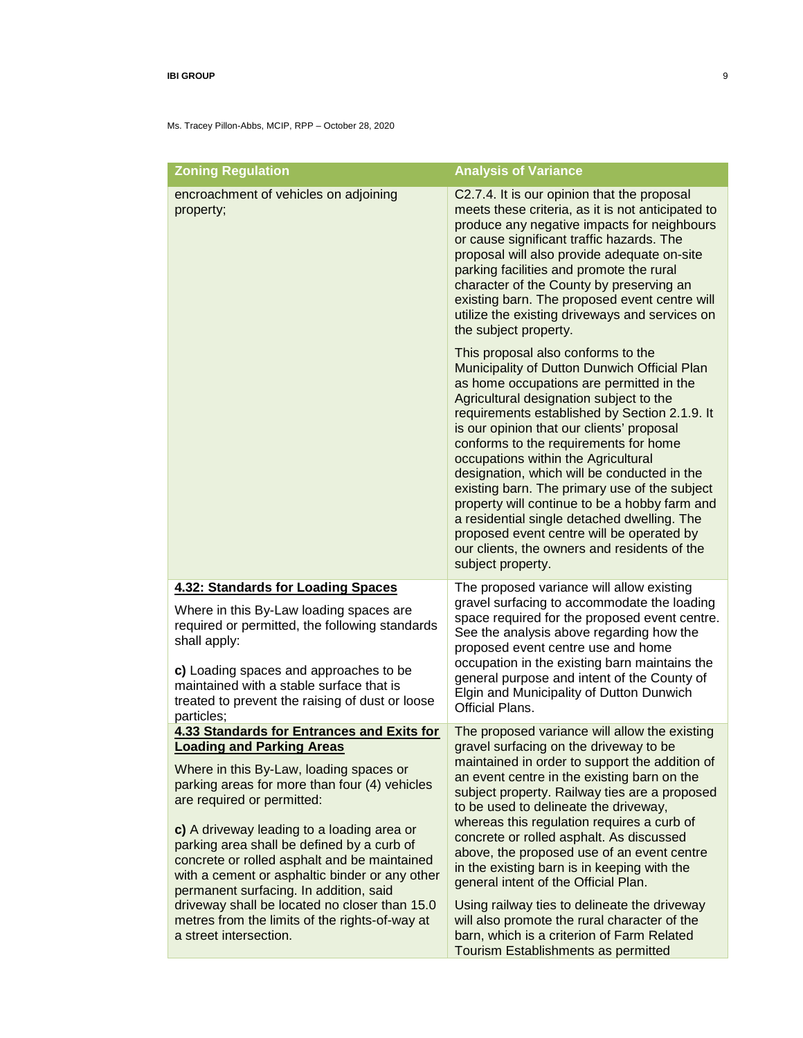| <b>Zoning Regulation</b>                                                                                                                                                                                                                                                                                                                                                                           | <b>Analysis of Variance</b>                                                                                                                                                                                                                                                                                                                                                                                                                                                                                                                                                                                                                                               |
|----------------------------------------------------------------------------------------------------------------------------------------------------------------------------------------------------------------------------------------------------------------------------------------------------------------------------------------------------------------------------------------------------|---------------------------------------------------------------------------------------------------------------------------------------------------------------------------------------------------------------------------------------------------------------------------------------------------------------------------------------------------------------------------------------------------------------------------------------------------------------------------------------------------------------------------------------------------------------------------------------------------------------------------------------------------------------------------|
| encroachment of vehicles on adjoining<br>property;                                                                                                                                                                                                                                                                                                                                                 | C2.7.4. It is our opinion that the proposal<br>meets these criteria, as it is not anticipated to<br>produce any negative impacts for neighbours<br>or cause significant traffic hazards. The<br>proposal will also provide adequate on-site<br>parking facilities and promote the rural<br>character of the County by preserving an<br>existing barn. The proposed event centre will<br>utilize the existing driveways and services on<br>the subject property.                                                                                                                                                                                                           |
|                                                                                                                                                                                                                                                                                                                                                                                                    | This proposal also conforms to the<br>Municipality of Dutton Dunwich Official Plan<br>as home occupations are permitted in the<br>Agricultural designation subject to the<br>requirements established by Section 2.1.9. It<br>is our opinion that our clients' proposal<br>conforms to the requirements for home<br>occupations within the Agricultural<br>designation, which will be conducted in the<br>existing barn. The primary use of the subject<br>property will continue to be a hobby farm and<br>a residential single detached dwelling. The<br>proposed event centre will be operated by<br>our clients, the owners and residents of the<br>subject property. |
| <b>4.32: Standards for Loading Spaces</b>                                                                                                                                                                                                                                                                                                                                                          | The proposed variance will allow existing                                                                                                                                                                                                                                                                                                                                                                                                                                                                                                                                                                                                                                 |
| Where in this By-Law loading spaces are<br>required or permitted, the following standards<br>shall apply:<br>c) Loading spaces and approaches to be<br>maintained with a stable surface that is                                                                                                                                                                                                    | gravel surfacing to accommodate the loading<br>space required for the proposed event centre.<br>See the analysis above regarding how the<br>proposed event centre use and home<br>occupation in the existing barn maintains the<br>general purpose and intent of the County of                                                                                                                                                                                                                                                                                                                                                                                            |
| treated to prevent the raising of dust or loose<br>particles;                                                                                                                                                                                                                                                                                                                                      | Elgin and Municipality of Dutton Dunwich<br><b>Official Plans.</b>                                                                                                                                                                                                                                                                                                                                                                                                                                                                                                                                                                                                        |
| <b>4.33 Standards for Entrances and Exits for</b>                                                                                                                                                                                                                                                                                                                                                  | The proposed variance will allow the existing                                                                                                                                                                                                                                                                                                                                                                                                                                                                                                                                                                                                                             |
| <b>Loading and Parking Areas</b><br>Where in this By-Law, loading spaces or<br>parking areas for more than four (4) vehicles<br>are required or permitted:<br>c) A driveway leading to a loading area or<br>parking area shall be defined by a curb of<br>concrete or rolled asphalt and be maintained<br>with a cement or asphaltic binder or any other<br>permanent surfacing. In addition, said | gravel surfacing on the driveway to be<br>maintained in order to support the addition of<br>an event centre in the existing barn on the<br>subject property. Railway ties are a proposed<br>to be used to delineate the driveway,<br>whereas this regulation requires a curb of<br>concrete or rolled asphalt. As discussed<br>above, the proposed use of an event centre<br>in the existing barn is in keeping with the<br>general intent of the Official Plan.                                                                                                                                                                                                          |
| driveway shall be located no closer than 15.0<br>metres from the limits of the rights-of-way at<br>a street intersection.                                                                                                                                                                                                                                                                          | Using railway ties to delineate the driveway<br>will also promote the rural character of the<br>barn, which is a criterion of Farm Related<br>Tourism Establishments as permitted                                                                                                                                                                                                                                                                                                                                                                                                                                                                                         |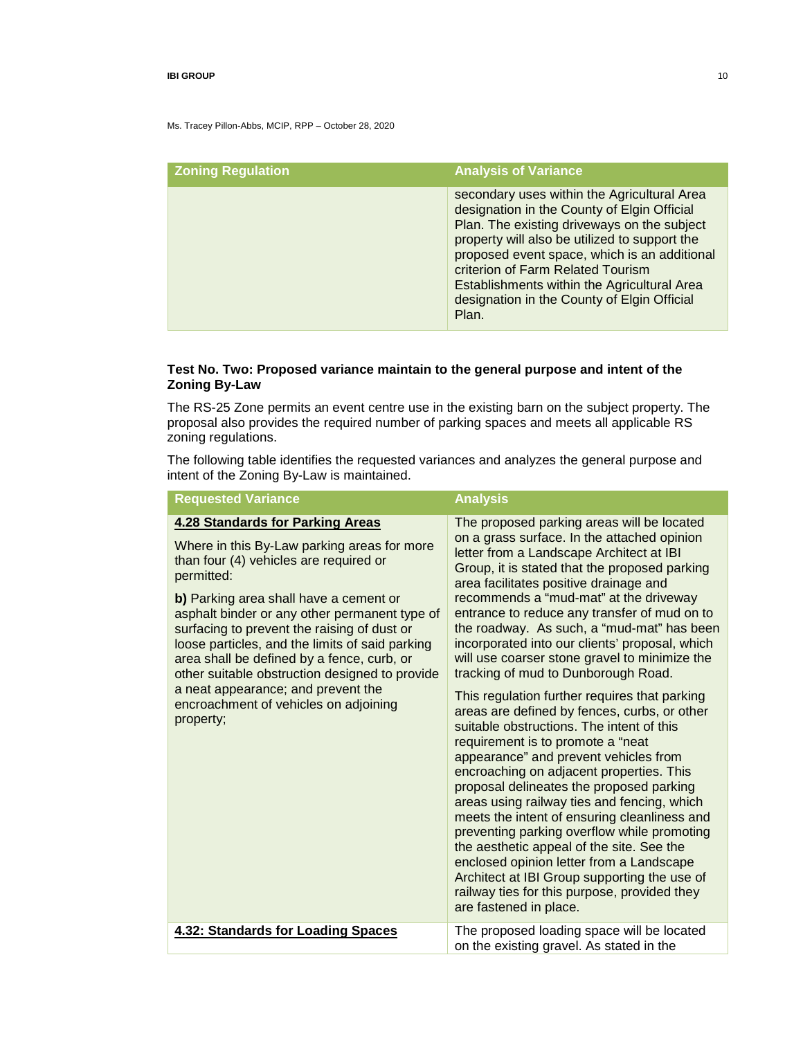Ms. Tracey Pillon-Abbs, MCIP, RPP – October 28, 2020

| <b>Zoning Regulation</b> | <b>Analysis of Variance</b>                                                                                                                                                                                                                                                                                                                                                            |
|--------------------------|----------------------------------------------------------------------------------------------------------------------------------------------------------------------------------------------------------------------------------------------------------------------------------------------------------------------------------------------------------------------------------------|
|                          | secondary uses within the Agricultural Area<br>designation in the County of Elgin Official<br>Plan. The existing driveways on the subject<br>property will also be utilized to support the<br>proposed event space, which is an additional<br>criterion of Farm Related Tourism<br>Establishments within the Agricultural Area<br>designation in the County of Elgin Official<br>Plan. |

## **Test No. Two: Proposed variance maintain to the general purpose and intent of the Zoning By-Law**

The RS-25 Zone permits an event centre use in the existing barn on the subject property. The proposal also provides the required number of parking spaces and meets all applicable RS zoning regulations.

The following table identifies the requested variances and analyzes the general purpose and intent of the Zoning By-Law is maintained.

| <b>Requested Variance</b>                                                                                                                                                                                                                                                                                                                                                                                                                                                                                                               | <b>Analysis</b>                                                                                                                                                                                                                                                                                                                                                                                                                                                                                                                                                                                                                                                                                                                                                                                                                                                                                                                                                                                                                                                                                                                                                                                         |
|-----------------------------------------------------------------------------------------------------------------------------------------------------------------------------------------------------------------------------------------------------------------------------------------------------------------------------------------------------------------------------------------------------------------------------------------------------------------------------------------------------------------------------------------|---------------------------------------------------------------------------------------------------------------------------------------------------------------------------------------------------------------------------------------------------------------------------------------------------------------------------------------------------------------------------------------------------------------------------------------------------------------------------------------------------------------------------------------------------------------------------------------------------------------------------------------------------------------------------------------------------------------------------------------------------------------------------------------------------------------------------------------------------------------------------------------------------------------------------------------------------------------------------------------------------------------------------------------------------------------------------------------------------------------------------------------------------------------------------------------------------------|
| <b>4.28 Standards for Parking Areas</b><br>Where in this By-Law parking areas for more<br>than four (4) vehicles are required or<br>permitted:<br>b) Parking area shall have a cement or<br>asphalt binder or any other permanent type of<br>surfacing to prevent the raising of dust or<br>loose particles, and the limits of said parking<br>area shall be defined by a fence, curb, or<br>other suitable obstruction designed to provide<br>a neat appearance; and prevent the<br>encroachment of vehicles on adjoining<br>property; | The proposed parking areas will be located<br>on a grass surface. In the attached opinion<br>letter from a Landscape Architect at IBI<br>Group, it is stated that the proposed parking<br>area facilitates positive drainage and<br>recommends a "mud-mat" at the driveway<br>entrance to reduce any transfer of mud on to<br>the roadway. As such, a "mud-mat" has been<br>incorporated into our clients' proposal, which<br>will use coarser stone gravel to minimize the<br>tracking of mud to Dunborough Road.<br>This regulation further requires that parking<br>areas are defined by fences, curbs, or other<br>suitable obstructions. The intent of this<br>requirement is to promote a "neat<br>appearance" and prevent vehicles from<br>encroaching on adjacent properties. This<br>proposal delineates the proposed parking<br>areas using railway ties and fencing, which<br>meets the intent of ensuring cleanliness and<br>preventing parking overflow while promoting<br>the aesthetic appeal of the site. See the<br>enclosed opinion letter from a Landscape<br>Architect at IBI Group supporting the use of<br>railway ties for this purpose, provided they<br>are fastened in place. |
| 4.32: Standards for Loading Spaces                                                                                                                                                                                                                                                                                                                                                                                                                                                                                                      | The proposed loading space will be located<br>on the existing gravel. As stated in the                                                                                                                                                                                                                                                                                                                                                                                                                                                                                                                                                                                                                                                                                                                                                                                                                                                                                                                                                                                                                                                                                                                  |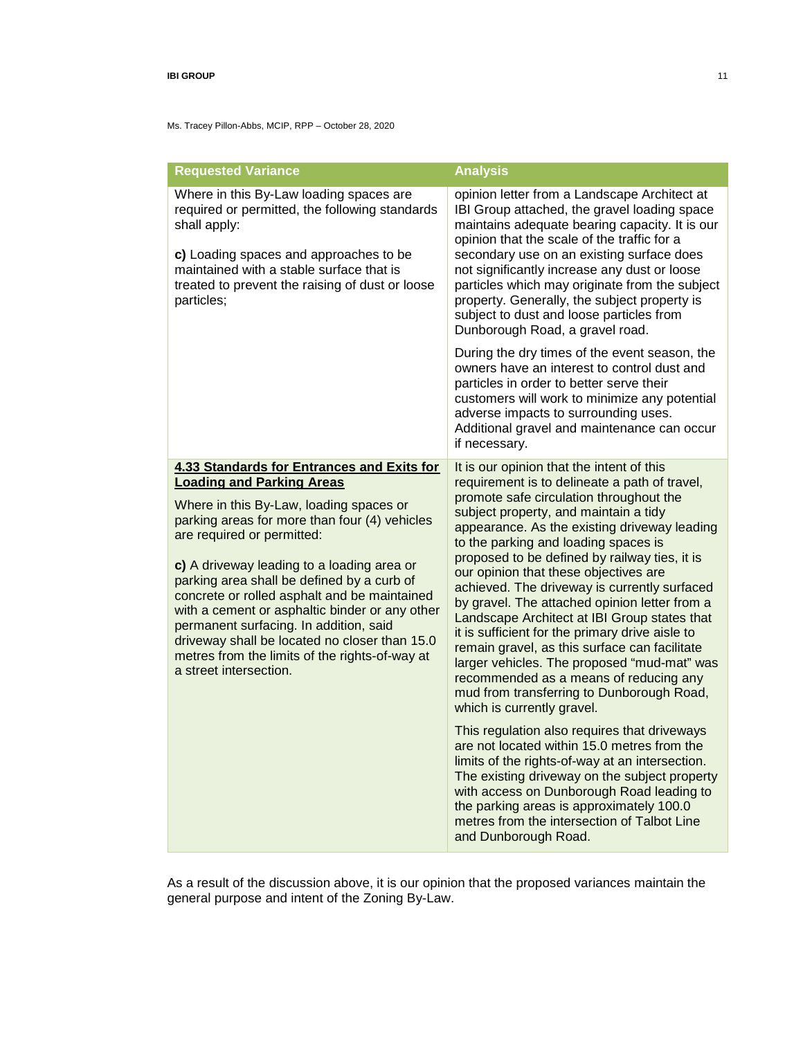Ms. Tracey Pillon-Abbs, MCIP, RPP – October 28, 2020

| <b>Requested Variance</b>                                                                                                                                                                                                                                                                                                                                                                                                                                                                                                                                                            | <b>Analysis</b>                                                                                                                                                                                                                                                                                                                                                                                                                                                                                                                                                                                                                                                                                                                                                                                                                                                                                                                                                                                                                                                                                                                                              |
|--------------------------------------------------------------------------------------------------------------------------------------------------------------------------------------------------------------------------------------------------------------------------------------------------------------------------------------------------------------------------------------------------------------------------------------------------------------------------------------------------------------------------------------------------------------------------------------|--------------------------------------------------------------------------------------------------------------------------------------------------------------------------------------------------------------------------------------------------------------------------------------------------------------------------------------------------------------------------------------------------------------------------------------------------------------------------------------------------------------------------------------------------------------------------------------------------------------------------------------------------------------------------------------------------------------------------------------------------------------------------------------------------------------------------------------------------------------------------------------------------------------------------------------------------------------------------------------------------------------------------------------------------------------------------------------------------------------------------------------------------------------|
| Where in this By-Law loading spaces are<br>required or permitted, the following standards<br>shall apply:<br>c) Loading spaces and approaches to be<br>maintained with a stable surface that is<br>treated to prevent the raising of dust or loose<br>particles;                                                                                                                                                                                                                                                                                                                     | opinion letter from a Landscape Architect at<br>IBI Group attached, the gravel loading space<br>maintains adequate bearing capacity. It is our<br>opinion that the scale of the traffic for a<br>secondary use on an existing surface does<br>not significantly increase any dust or loose<br>particles which may originate from the subject<br>property. Generally, the subject property is<br>subject to dust and loose particles from<br>Dunborough Road, a gravel road.                                                                                                                                                                                                                                                                                                                                                                                                                                                                                                                                                                                                                                                                                  |
|                                                                                                                                                                                                                                                                                                                                                                                                                                                                                                                                                                                      | During the dry times of the event season, the<br>owners have an interest to control dust and<br>particles in order to better serve their<br>customers will work to minimize any potential<br>adverse impacts to surrounding uses.<br>Additional gravel and maintenance can occur<br>if necessary.                                                                                                                                                                                                                                                                                                                                                                                                                                                                                                                                                                                                                                                                                                                                                                                                                                                            |
| <b>4.33 Standards for Entrances and Exits for</b><br><b>Loading and Parking Areas</b><br>Where in this By-Law, loading spaces or<br>parking areas for more than four (4) vehicles<br>are required or permitted:<br>c) A driveway leading to a loading area or<br>parking area shall be defined by a curb of<br>concrete or rolled asphalt and be maintained<br>with a cement or asphaltic binder or any other<br>permanent surfacing. In addition, said<br>driveway shall be located no closer than 15.0<br>metres from the limits of the rights-of-way at<br>a street intersection. | It is our opinion that the intent of this<br>requirement is to delineate a path of travel,<br>promote safe circulation throughout the<br>subject property, and maintain a tidy<br>appearance. As the existing driveway leading<br>to the parking and loading spaces is<br>proposed to be defined by railway ties, it is<br>our opinion that these objectives are<br>achieved. The driveway is currently surfaced<br>by gravel. The attached opinion letter from a<br>Landscape Architect at IBI Group states that<br>it is sufficient for the primary drive aisle to<br>remain gravel, as this surface can facilitate<br>larger vehicles. The proposed "mud-mat" was<br>recommended as a means of reducing any<br>mud from transferring to Dunborough Road,<br>which is currently gravel.<br>This regulation also requires that driveways<br>are not located within 15.0 metres from the<br>limits of the rights-of-way at an intersection.<br>The existing driveway on the subject property<br>with access on Dunborough Road leading to<br>the parking areas is approximately 100.0<br>metres from the intersection of Talbot Line<br>and Dunborough Road. |

As a result of the discussion above, it is our opinion that the proposed variances maintain the general purpose and intent of the Zoning By-Law.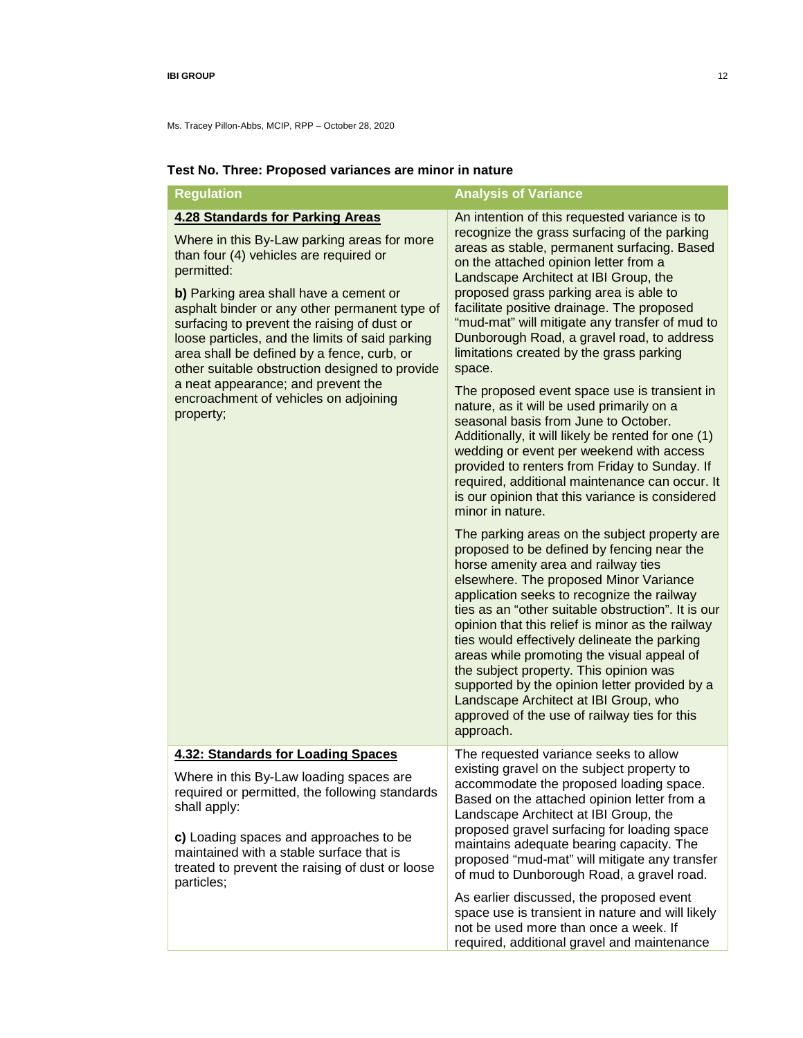Ms. Tracey Pillon-Abbs, MCIP, RPP – October 28, 2020

| <b>Regulation</b>                                                                                                                                                                                                                                                                                                                                                                                                                                                                                                                       | <b>Analysis of Variance</b>                                                                                                                                                                                                                                                                                                                                                                                                                                                                                                                                                                                                                                                                                                                                                                                                                                                                                                                                                                                                         |
|-----------------------------------------------------------------------------------------------------------------------------------------------------------------------------------------------------------------------------------------------------------------------------------------------------------------------------------------------------------------------------------------------------------------------------------------------------------------------------------------------------------------------------------------|-------------------------------------------------------------------------------------------------------------------------------------------------------------------------------------------------------------------------------------------------------------------------------------------------------------------------------------------------------------------------------------------------------------------------------------------------------------------------------------------------------------------------------------------------------------------------------------------------------------------------------------------------------------------------------------------------------------------------------------------------------------------------------------------------------------------------------------------------------------------------------------------------------------------------------------------------------------------------------------------------------------------------------------|
| <b>4.28 Standards for Parking Areas</b><br>Where in this By-Law parking areas for more<br>than four (4) vehicles are required or<br>permitted:<br>b) Parking area shall have a cement or<br>asphalt binder or any other permanent type of<br>surfacing to prevent the raising of dust or<br>loose particles, and the limits of said parking<br>area shall be defined by a fence, curb, or<br>other suitable obstruction designed to provide<br>a neat appearance; and prevent the<br>encroachment of vehicles on adjoining<br>property; | An intention of this requested variance is to<br>recognize the grass surfacing of the parking<br>areas as stable, permanent surfacing. Based<br>on the attached opinion letter from a<br>Landscape Architect at IBI Group, the<br>proposed grass parking area is able to<br>facilitate positive drainage. The proposed<br>"mud-mat" will mitigate any transfer of mud to<br>Dunborough Road, a gravel road, to address<br>limitations created by the grass parking<br>space.<br>The proposed event space use is transient in<br>nature, as it will be used primarily on a<br>seasonal basis from June to October.<br>Additionally, it will likely be rented for one (1)<br>wedding or event per weekend with access<br>provided to renters from Friday to Sunday. If<br>required, additional maintenance can occur. It<br>is our opinion that this variance is considered<br>minor in nature.<br>The parking areas on the subject property are<br>proposed to be defined by fencing near the<br>horse amenity area and railway ties |
|                                                                                                                                                                                                                                                                                                                                                                                                                                                                                                                                         | elsewhere. The proposed Minor Variance<br>application seeks to recognize the railway<br>ties as an "other suitable obstruction". It is our<br>opinion that this relief is minor as the railway<br>ties would effectively delineate the parking<br>areas while promoting the visual appeal of<br>the subject property. This opinion was<br>supported by the opinion letter provided by a<br>Landscape Architect at IBI Group, who<br>approved of the use of railway ties for this<br>approach.                                                                                                                                                                                                                                                                                                                                                                                                                                                                                                                                       |
| <b>4.32: Standards for Loading Spaces</b>                                                                                                                                                                                                                                                                                                                                                                                                                                                                                               | The requested variance seeks to allow<br>existing gravel on the subject property to                                                                                                                                                                                                                                                                                                                                                                                                                                                                                                                                                                                                                                                                                                                                                                                                                                                                                                                                                 |
| Where in this By-Law loading spaces are<br>required or permitted, the following standards<br>shall apply:<br>c) Loading spaces and approaches to be<br>maintained with a stable surface that is<br>treated to prevent the raising of dust or loose<br>particles;                                                                                                                                                                                                                                                                        | accommodate the proposed loading space.<br>Based on the attached opinion letter from a<br>Landscape Architect at IBI Group, the<br>proposed gravel surfacing for loading space<br>maintains adequate bearing capacity. The<br>proposed "mud-mat" will mitigate any transfer<br>of mud to Dunborough Road, a gravel road.                                                                                                                                                                                                                                                                                                                                                                                                                                                                                                                                                                                                                                                                                                            |
|                                                                                                                                                                                                                                                                                                                                                                                                                                                                                                                                         | As earlier discussed, the proposed event<br>space use is transient in nature and will likely<br>not be used more than once a week. If<br>required, additional gravel and maintenance                                                                                                                                                                                                                                                                                                                                                                                                                                                                                                                                                                                                                                                                                                                                                                                                                                                |

# **Test No. Three: Proposed variances are minor in nature**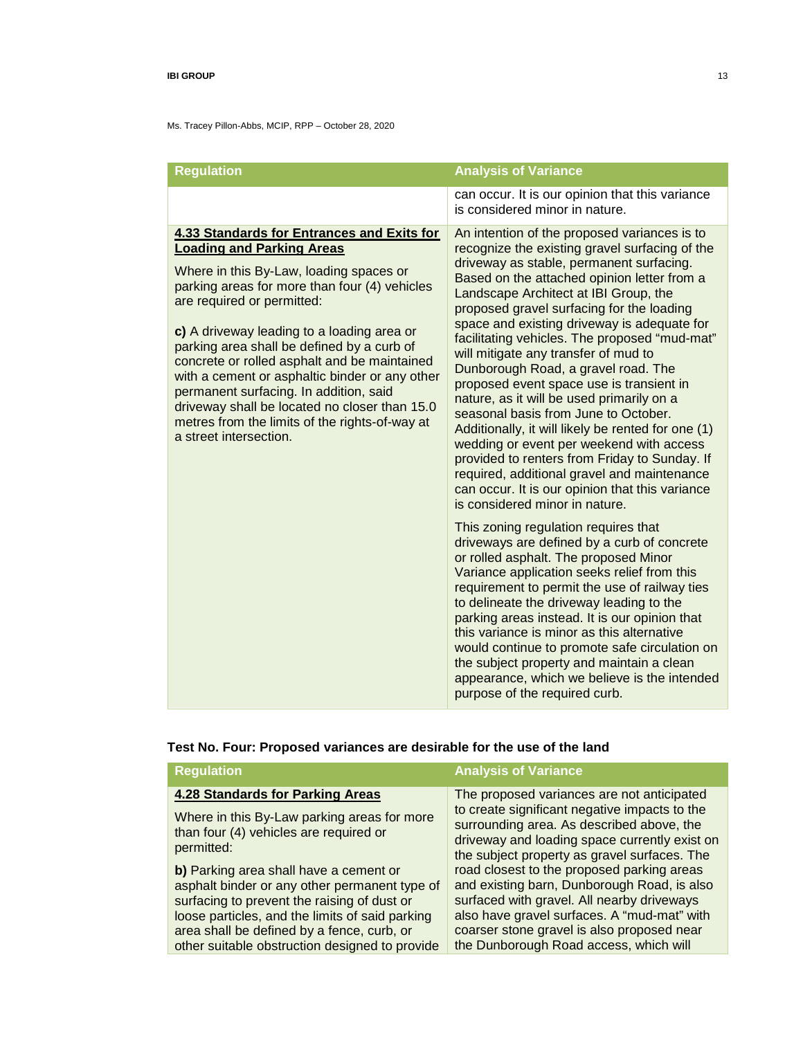Ms. Tracey Pillon-Abbs, MCIP, RPP – October 28, 2020

| <b>Regulation</b>                                                                                                                                                                                                                                                                                                                                                                                                                                                                                                                                                                    | <b>Analysis of Variance</b>                                                                                                                                                                                                                                                                                                                                                                                                                                                                                                                                                                                                                                                                                                                                                                                                                                                                                                                                                                                                                                                                                                                                                                                                                                                                                                                                                                                                                      |
|--------------------------------------------------------------------------------------------------------------------------------------------------------------------------------------------------------------------------------------------------------------------------------------------------------------------------------------------------------------------------------------------------------------------------------------------------------------------------------------------------------------------------------------------------------------------------------------|--------------------------------------------------------------------------------------------------------------------------------------------------------------------------------------------------------------------------------------------------------------------------------------------------------------------------------------------------------------------------------------------------------------------------------------------------------------------------------------------------------------------------------------------------------------------------------------------------------------------------------------------------------------------------------------------------------------------------------------------------------------------------------------------------------------------------------------------------------------------------------------------------------------------------------------------------------------------------------------------------------------------------------------------------------------------------------------------------------------------------------------------------------------------------------------------------------------------------------------------------------------------------------------------------------------------------------------------------------------------------------------------------------------------------------------------------|
|                                                                                                                                                                                                                                                                                                                                                                                                                                                                                                                                                                                      | can occur. It is our opinion that this variance<br>is considered minor in nature.                                                                                                                                                                                                                                                                                                                                                                                                                                                                                                                                                                                                                                                                                                                                                                                                                                                                                                                                                                                                                                                                                                                                                                                                                                                                                                                                                                |
| <b>4.33 Standards for Entrances and Exits for</b><br><b>Loading and Parking Areas</b><br>Where in this By-Law, loading spaces or<br>parking areas for more than four (4) vehicles<br>are required or permitted:<br>c) A driveway leading to a loading area or<br>parking area shall be defined by a curb of<br>concrete or rolled asphalt and be maintained<br>with a cement or asphaltic binder or any other<br>permanent surfacing. In addition, said<br>driveway shall be located no closer than 15.0<br>metres from the limits of the rights-of-way at<br>a street intersection. | An intention of the proposed variances is to<br>recognize the existing gravel surfacing of the<br>driveway as stable, permanent surfacing.<br>Based on the attached opinion letter from a<br>Landscape Architect at IBI Group, the<br>proposed gravel surfacing for the loading<br>space and existing driveway is adequate for<br>facilitating vehicles. The proposed "mud-mat"<br>will mitigate any transfer of mud to<br>Dunborough Road, a gravel road. The<br>proposed event space use is transient in<br>nature, as it will be used primarily on a<br>seasonal basis from June to October.<br>Additionally, it will likely be rented for one (1)<br>wedding or event per weekend with access<br>provided to renters from Friday to Sunday. If<br>required, additional gravel and maintenance<br>can occur. It is our opinion that this variance<br>is considered minor in nature.<br>This zoning regulation requires that<br>driveways are defined by a curb of concrete<br>or rolled asphalt. The proposed Minor<br>Variance application seeks relief from this<br>requirement to permit the use of railway ties<br>to delineate the driveway leading to the<br>parking areas instead. It is our opinion that<br>this variance is minor as this alternative<br>would continue to promote safe circulation on<br>the subject property and maintain a clean<br>appearance, which we believe is the intended<br>purpose of the required curb. |

# **Test No. Four: Proposed variances are desirable for the use of the land**

| <b>Regulation</b>                                                                                                                                                                                                                                                                         | <b>Analysis of Variance</b>                                                                                                                                                                                                                                                    |
|-------------------------------------------------------------------------------------------------------------------------------------------------------------------------------------------------------------------------------------------------------------------------------------------|--------------------------------------------------------------------------------------------------------------------------------------------------------------------------------------------------------------------------------------------------------------------------------|
| <b>4.28 Standards for Parking Areas</b><br>Where in this By-Law parking areas for more<br>than four (4) vehicles are required or<br>permitted:                                                                                                                                            | The proposed variances are not anticipated<br>to create significant negative impacts to the<br>surrounding area. As described above, the<br>driveway and loading space currently exist on<br>the subject property as gravel surfaces. The                                      |
| b) Parking area shall have a cement or<br>asphalt binder or any other permanent type of<br>surfacing to prevent the raising of dust or<br>loose particles, and the limits of said parking<br>area shall be defined by a fence, curb, or<br>other suitable obstruction designed to provide | road closest to the proposed parking areas<br>and existing barn, Dunborough Road, is also<br>surfaced with gravel. All nearby driveways<br>also have gravel surfaces. A "mud-mat" with<br>coarser stone gravel is also proposed near<br>the Dunborough Road access, which will |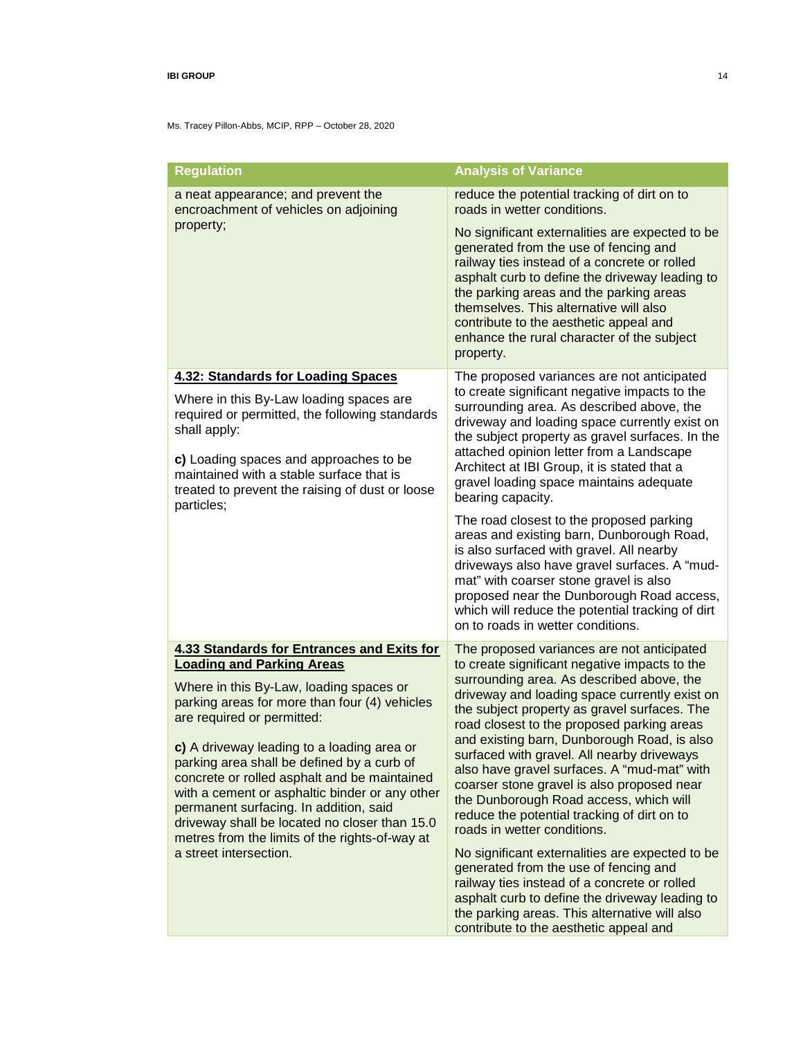| <b>Regulation</b>                                                                                                                                                                                                                                                                                                                                                                                                                                                                                                               | <b>Analysis of Variance</b>                                                                                                                                                                                                                                                                                                                                                                                                                                                                                |
|---------------------------------------------------------------------------------------------------------------------------------------------------------------------------------------------------------------------------------------------------------------------------------------------------------------------------------------------------------------------------------------------------------------------------------------------------------------------------------------------------------------------------------|------------------------------------------------------------------------------------------------------------------------------------------------------------------------------------------------------------------------------------------------------------------------------------------------------------------------------------------------------------------------------------------------------------------------------------------------------------------------------------------------------------|
| a neat appearance; and prevent the<br>encroachment of vehicles on adjoining                                                                                                                                                                                                                                                                                                                                                                                                                                                     | reduce the potential tracking of dirt on to<br>roads in wetter conditions.                                                                                                                                                                                                                                                                                                                                                                                                                                 |
| property;                                                                                                                                                                                                                                                                                                                                                                                                                                                                                                                       | No significant externalities are expected to be<br>generated from the use of fencing and<br>railway ties instead of a concrete or rolled<br>asphalt curb to define the driveway leading to<br>the parking areas and the parking areas<br>themselves. This alternative will also<br>contribute to the aesthetic appeal and<br>enhance the rural character of the subject<br>property.                                                                                                                       |
| <b>4.32: Standards for Loading Spaces</b>                                                                                                                                                                                                                                                                                                                                                                                                                                                                                       | The proposed variances are not anticipated                                                                                                                                                                                                                                                                                                                                                                                                                                                                 |
| Where in this By-Law loading spaces are<br>required or permitted, the following standards<br>shall apply:                                                                                                                                                                                                                                                                                                                                                                                                                       | to create significant negative impacts to the<br>surrounding area. As described above, the<br>driveway and loading space currently exist on<br>the subject property as gravel surfaces. In the<br>attached opinion letter from a Landscape<br>Architect at IBI Group, it is stated that a<br>gravel loading space maintains adequate<br>bearing capacity.                                                                                                                                                  |
| c) Loading spaces and approaches to be<br>maintained with a stable surface that is<br>treated to prevent the raising of dust or loose<br>particles;                                                                                                                                                                                                                                                                                                                                                                             |                                                                                                                                                                                                                                                                                                                                                                                                                                                                                                            |
|                                                                                                                                                                                                                                                                                                                                                                                                                                                                                                                                 | The road closest to the proposed parking<br>areas and existing barn, Dunborough Road,<br>is also surfaced with gravel. All nearby<br>driveways also have gravel surfaces. A "mud-<br>mat" with coarser stone gravel is also<br>proposed near the Dunborough Road access,<br>which will reduce the potential tracking of dirt<br>on to roads in wetter conditions.                                                                                                                                          |
| <b>4.33 Standards for Entrances and Exits for</b>                                                                                                                                                                                                                                                                                                                                                                                                                                                                               | The proposed variances are not anticipated<br>to create significant negative impacts to the                                                                                                                                                                                                                                                                                                                                                                                                                |
| <b>Loading and Parking Areas</b><br>Where in this By-Law, loading spaces or<br>parking areas for more than four (4) vehicles<br>are required or permitted:<br>c) A driveway leading to a loading area or<br>parking area shall be defined by a curb of<br>concrete or rolled asphalt and be maintained<br>with a cement or asphaltic binder or any other<br>permanent surfacing. In addition, said<br>driveway shall be located no closer than 15.0<br>metres from the limits of the rights-of-way at<br>a street intersection. | surrounding area. As described above, the<br>driveway and loading space currently exist on<br>the subject property as gravel surfaces. The<br>road closest to the proposed parking areas<br>and existing barn, Dunborough Road, is also<br>surfaced with gravel. All nearby driveways<br>also have gravel surfaces. A "mud-mat" with<br>coarser stone gravel is also proposed near<br>the Dunborough Road access, which will<br>reduce the potential tracking of dirt on to<br>roads in wetter conditions. |
|                                                                                                                                                                                                                                                                                                                                                                                                                                                                                                                                 | No significant externalities are expected to be<br>generated from the use of fencing and<br>railway ties instead of a concrete or rolled<br>asphalt curb to define the driveway leading to<br>the parking areas. This alternative will also<br>contribute to the aesthetic appeal and                                                                                                                                                                                                                      |